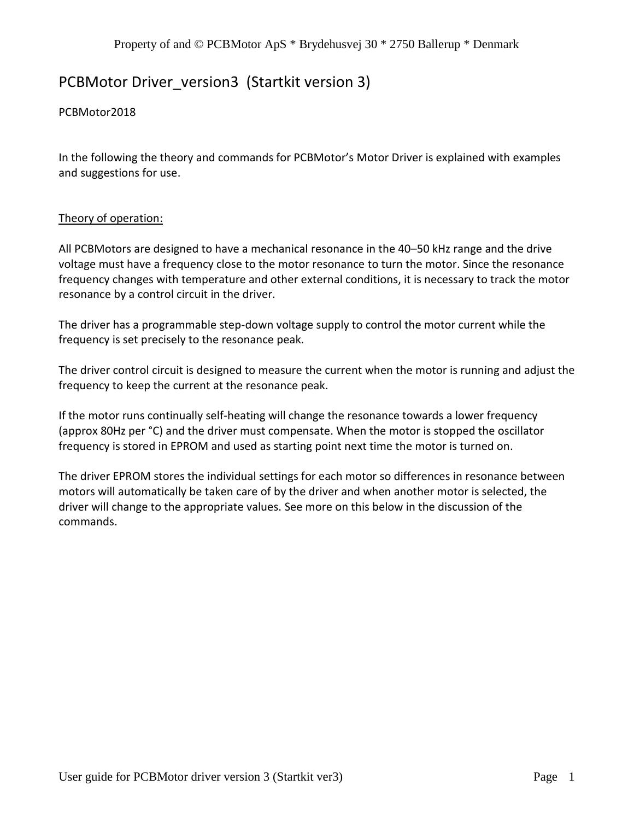# PCBMotor Driver\_version3 (Startkit version 3)

## PCBMotor2018

In the following the theory and commands for PCBMotor's Motor Driver is explained with examples and suggestions for use.

## Theory of operation:

All PCBMotors are designed to have a mechanical resonance in the 40–50 kHz range and the drive voltage must have a frequency close to the motor resonance to turn the motor. Since the resonance frequency changes with temperature and other external conditions, it is necessary to track the motor resonance by a control circuit in the driver.

The driver has a programmable step-down voltage supply to control the motor current while the frequency is set precisely to the resonance peak.

The driver control circuit is designed to measure the current when the motor is running and adjust the frequency to keep the current at the resonance peak.

If the motor runs continually self-heating will change the resonance towards a lower frequency (approx 80Hz per °C) and the driver must compensate. When the motor is stopped the oscillator frequency is stored in EPROM and used as starting point next time the motor is turned on.

The driver EPROM stores the individual settings for each motor so differences in resonance between motors will automatically be taken care of by the driver and when another motor is selected, the driver will change to the appropriate values. See more on this below in the discussion of the commands.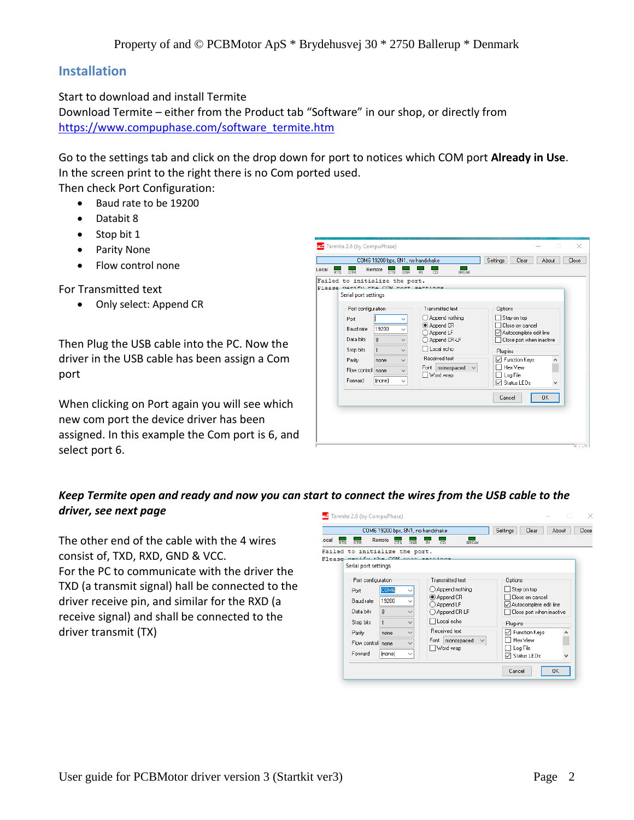## **Installation**

Start to download and install Termite

Download Termite – either from the Product tab "Software" in our shop, or directly from [https://www.compuphase.com/software\\_termite.htm](https://www.compuphase.com/software_termite.htm)

Go to the settings tab and click on the drop down for port to notices which COM port **Already in Use**. In the screen print to the right there is no Com ported used.

Then check Port Configuration:

- Baud rate to be 19200
- Databit 8
- Stop bit 1
- Parity None
- Flow control none

For Transmitted text

• Only select: Append CR

Then Plug the USB cable into the PC. Now the driver in the USB cable has been assign a Com port

When clicking on Port again you will see which new com port the device driver has been assigned. In this example the Com port is 6, and select port 6.



## *Keep Termite open and ready and now you can start to connect the wires from the USB cable to the driver, see next page*

The other end of the cable with the 4 wires consist of, TXD, RXD, GND & VCC. For the PC to communicate with the driver the TXD (a transmit signal) hall be connected to the driver receive pin, and similar for the RXD (a receive signal) and shall be connected to the driver transmit (TX)

|                                                                                                        | COM6 19200 bps, 8N1, no handshake                              |                                                                                                              |                                                                                                                                                  |              |                                                                                                                                                                         | Settings<br>Clear<br>Close<br>About |  |  |
|--------------------------------------------------------------------------------------------------------|----------------------------------------------------------------|--------------------------------------------------------------------------------------------------------------|--------------------------------------------------------------------------------------------------------------------------------------------------|--------------|-------------------------------------------------------------------------------------------------------------------------------------------------------------------------|-------------------------------------|--|--|
| Remote<br>ocal<br><b>DTR</b><br>RTS                                                                    | CTS                                                            |                                                                                                              | CD                                                                                                                                               | <b>BREAK</b> |                                                                                                                                                                         |                                     |  |  |
| Failed to initialize the port.<br>Please warifu the COM nort eattings<br>Serial port settings          |                                                                |                                                                                                              |                                                                                                                                                  |              |                                                                                                                                                                         |                                     |  |  |
| Port configuration<br>Port<br>Baud rate<br>Data bits<br>Stop bits<br>Parity<br>Flow control<br>Forward | COM6<br>19200<br>8<br>$\blacksquare$<br>none<br>none<br>(none) | $\checkmark$<br>$\checkmark$<br>$\checkmark$<br>$\checkmark$<br>$\checkmark$<br>$\checkmark$<br>$\checkmark$ | Transmitted text<br>Append nothing<br>Append CR<br>Append LF<br>◯ Append CR-LF<br>Local echo<br>Received text<br>Font<br>monospaced<br>Word wrap | $\checkmark$ | Options<br>Stay on top<br>Close on cancel<br>√ Autocomplete edit line<br>Close port when inactive<br>Plug-ins<br>√ Function Keys<br>Hex View<br>Log File<br>Status LEDs | ^                                   |  |  |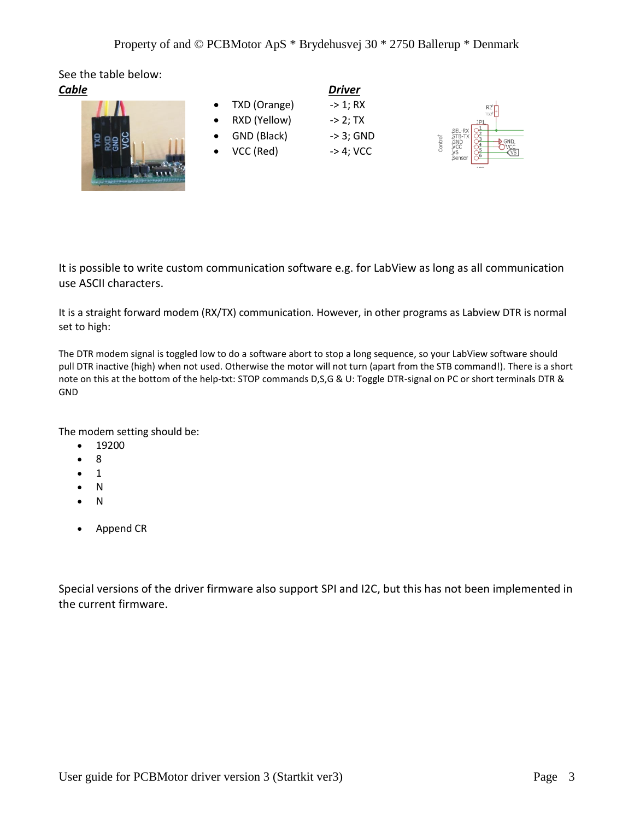See the table below:



| Cable |  |                | <b>Driver</b> |  |
|-------|--|----------------|---------------|--|
|       |  | • TXD (Orange) | -> 1; RX      |  |
|       |  | • RXD (Yellow) | $-$ > 2: TX   |  |
|       |  | GND (Black)    | -> 3; GND     |  |

 $VCC (Red) \rightarrow 4; VCC$ 



It is possible to write custom communication software e.g. for LabView as long as all communication use ASCII characters.

It is a straight forward modem (RX/TX) communication. However, in other programs as Labview DTR is normal set to high:

The DTR modem signal is toggled low to do a software abort to stop a long sequence, so your LabView software should pull DTR inactive (high) when not used. Otherwise the motor will not turn (apart from the STB command!). There is a short note on this at the bottom of the help-txt: STOP commands D,S,G & U: Toggle DTR-signal on PC or short terminals DTR & GND

The modem setting should be:

- 19200
- 8
- 1
- N
- N
- Append CR

Special versions of the driver firmware also support SPI and I2C, but this has not been implemented in the current firmware.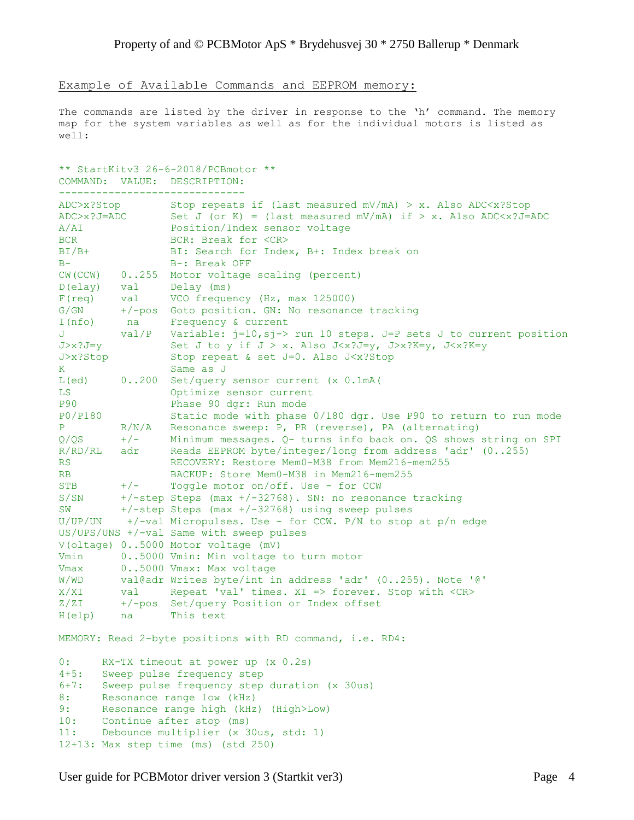Example of Available Commands and EEPROM memory:

The commands are listed by the driver in response to the 'h' command. The memory map for the system variables as well as for the individual motors is listed as well:

```
** StartKitv3 26-6-2018/PCBmotor **
COMMAND: VALUE: DESCRIPTION:
------------------------------
ADC>x?Stop Stop repeats if (last measured mV/mA) > x. Also ADC<x?Stop
ADC>x?J=ADC Set J (or K) = (last measured mV/mA) if > x. Also ADC<x?J=ADC
A/AI Position/Index sensor voltage
BCR BCR: Break for <CR>
BI/B+ BI: Search for Index, B+: Index break on<br>B- B-: Break OFF
                B-: Break OFF
CW(CCW) 0..255 Motor voltage scaling (percent)
D(elay) val Delay (ms)
F(req) val VCO frequency (Hz, max 125000)
G/GN +/-pos Goto position. GN: No resonance tracking
I(nfo) na Frequency & current
J val/P Variable: j=10,sj-> run 10 steps. J=P sets J to current position
J>x?J=y Set J to y if J > x. Also J<x?J=y, J>x?K=y, J<x?K=y
J>x?Stop Stop repeat & set J=0. Also J<x?Stop
K Same as J
L(ed) 0..200 Set/query sensor current (x 0.1mA)<br>
LS 0ptimize sensor current<br>
P90 Phase 90 dgr: Run mode
                Optimize sensor current
                Phase 90 dgr: Run mode<br>Static mode with phase 0/180 dgr. Use P90 to return to run mode
P0/P180 Static mode with phase 0/180 dgr. Use P90 to return to run mode
P R/N/A Resonance sweep: P, PR (reverse), PA (alternating)
Q/QS +/- Minimum messages. Q- turns info back on. QS shows string on SPI
R/RD/RL adr Reads EEPROM byte/integer/long from address 'adr' (0..255)
RS RECOVERY: Restore Mem0-M38 from Mem216-mem255
RB BACKUP: Store Mem0-M38 in Mem216-mem255
STB +/- Toggle motor on/off. Use - for CCW
S/SN +/-step Steps (max +/-32768). SN: no resonance tracking
SW +/-step Steps (max +/-32768) using sweep pulses
SW +/-step Steps (max +/-32768) using sweep pulses<br>U/UP/UN +/-val Micropulses. Use - for CCW. P/N to stop at p/n edge
US/UPS/UNS +/-val Same with sweep pulses
V(oltage) 0..5000 Motor voltage (mV)
Vmin 0..5000 Vmin: Min voltage to turn motor
Vmax 0..5000 Vmax: Max voltage
W/WD val@adr Writes byte/int in address 'adr' (0..255). Note '@'
X/XI val Repeat 'val' times. XI => forever. Stop with <CR>
Z/ZI +/-pos Set/query Position or Index offset
H(elp) na This text
MEMORY: Read 2-byte positions with RD command, i.e. RD4:
0: RX-TX timeout at power up (x 0.2s)
4+5: Sweep pulse frequency step
6+7: Sweep pulse frequency step duration (x 30us)
8: Resonance range low (kHz)
9: Resonance range high (kHz) (High>Low)
10: Continue after stop (ms)
11: Debounce multiplier (x 30us, std: 1)
12+13: Max step time (ms) (std 250)
```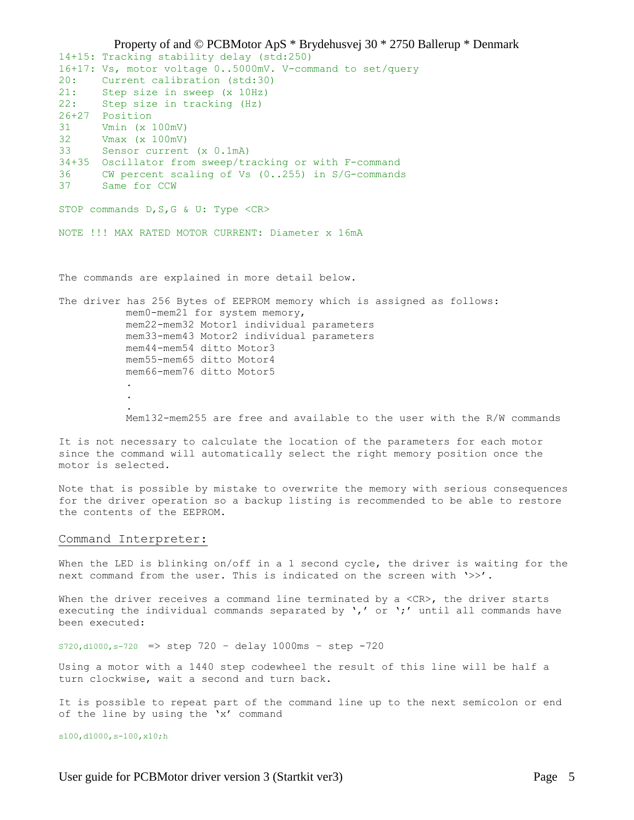Property of and © PCBMotor ApS \* Brydehusvej 30 \* 2750 Ballerup \* Denmark 14+15: Tracking stability delay (std:250) 16+17: Vs, motor voltage 0..5000mV. V-command to set/query 20: Current calibration (std:30) 21: Step size in sweep (x 10Hz) 21: Step size in tracking (Hz) 26+27 Position 31 Vmin (x 100mV) 32 Vmax (x 100mV) 33 Sensor current (x 0.1mA) 34+35 Oscillator from sweep/tracking or with F-command 36 CW percent scaling of Vs (0..255) in S/G-commands<br>37 Same far 2011 37 Same for CCW STOP commands D, S, G & U: Type <CR> NOTE !!! MAX RATED MOTOR CURRENT: Diameter x 16mA The commands are explained in more detail below. The driver has 256 Bytes of EEPROM memory which is assigned as follows: mem0-mem21 for system memory, mem22-mem32 Motor1 individual parameters mem33-mem43 Motor2 individual parameters mem44-mem54 ditto Motor3 mem55-mem65 ditto Motor4 mem66-mem76 ditto Motor5 . . . Mem132-mem255 are free and available to the user with the R/W commands

It is not necessary to calculate the location of the parameters for each motor since the command will automatically select the right memory position once the motor is selected.

Note that is possible by mistake to overwrite the memory with serious consequences for the driver operation so a backup listing is recommended to be able to restore the contents of the EEPROM.

#### Command Interpreter:

When the LED is blinking on/off in a 1 second cycle, the driver is waiting for the next command from the user. This is indicated on the screen with '>>'.

When the driver receives a command line terminated by a  $\langle CR\rangle$ , the driver starts executing the individual commands separated by  $\prime$ ,' or  $\prime$ ;' until all commands have been executed:

S720,d1000,s-720 => step 720 – delay 1000ms – step -720

Using a motor with a 1440 step codewheel the result of this line will be half a turn clockwise, wait a second and turn back.

It is possible to repeat part of the command line up to the next semicolon or end of the line by using the 'x' command

s100,d1000,s-100,x10;h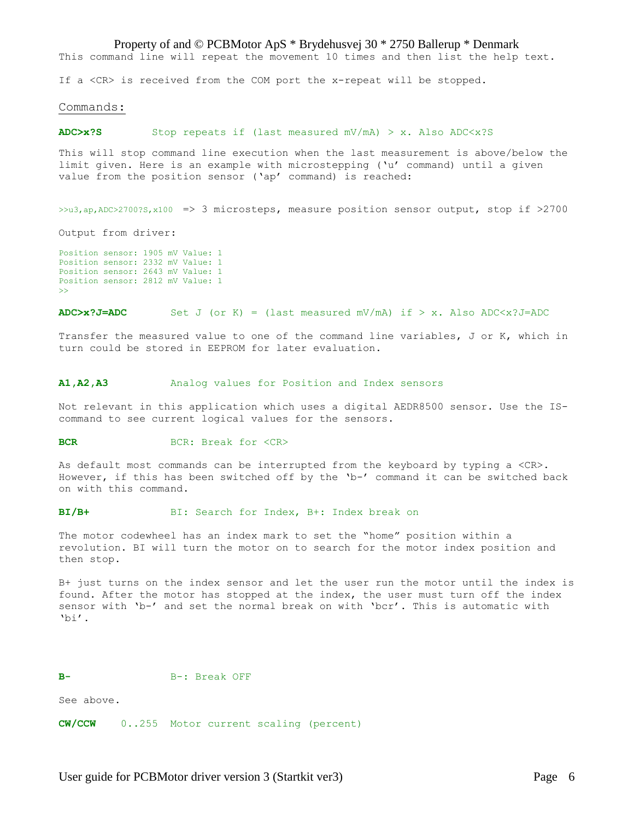### Property of and © PCBMotor ApS \* Brydehusvej 30 \* 2750 Ballerup \* Denmark

This command line will repeat the movement 10 times and then list the help text.

If a <CR> is received from the COM port the x-repeat will be stopped.

#### Commands:

#### **ADC>x?S** Stop repeats if (last measured mV/mA) > x. Also ADC<x?S

This will stop command line execution when the last measurement is above/below the limit given. Here is an example with microstepping ('u' command) until a given value from the position sensor ('ap' command) is reached:

>>u3,ap,ADC>2700?S,x100 => 3 microsteps, measure position sensor output, stop if >2700

Output from driver:

Position sensor: 1905 mV Value: 1 Position sensor: 2332 mV Value: 1 Position sensor: 2643 mV Value: 1 Position sensor: 2812 mV Value: 1 >>

#### $ADC>x?J=ADC$  Set J (or K) = (last measured mV/mA) if > x. Also  $ADC < x?J=ADC$

Transfer the measured value to one of the command line variables, J or K, which in turn could be stored in EEPROM for later evaluation.

#### **A1,A2,A3** Analog values for Position and Index sensors

Not relevant in this application which uses a digital AEDR8500 sensor. Use the IScommand to see current logical values for the sensors.

#### **BCR BCR: Break for <CR>**

As default most commands can be interrupted from the keyboard by typing a <CR>. However, if this has been switched off by the 'b-' command it can be switched back on with this command.

**BI/B+** BI: Search for Index, B+: Index break on

The motor codewheel has an index mark to set the "home" position within a revolution. BI will turn the motor on to search for the motor index position and then stop.

B+ just turns on the index sensor and let the user run the motor until the index is found. After the motor has stopped at the index, the user must turn off the index sensor with 'b-' and set the normal break on with 'bcr'. This is automatic with 'bi'.

#### B-: Break OFF

See above.

**CW/CCW** 0..255 Motor current scaling (percent)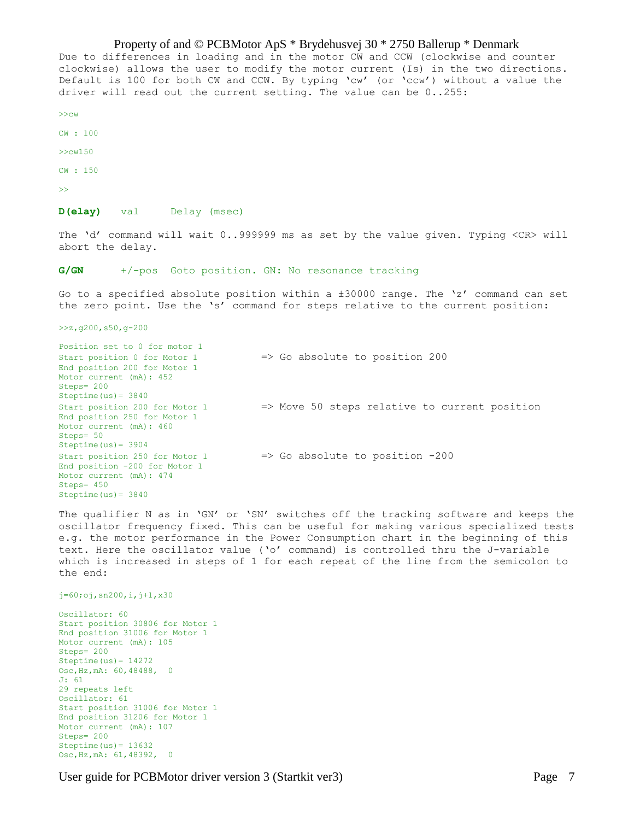Property of and © PCBMotor ApS \* Brydehusvej 30 \* 2750 Ballerup \* Denmark Due to differences in loading and in the motor CW and CCW (clockwise and counter clockwise) allows the user to modify the motor current (Is) in the two directions. Default is 100 for both CW and CCW. By typing 'cw' (or 'ccw') without a value the driver will read out the current setting. The value can be 0..255: >>cw

CW : 100

>>cw150

CW : 150

>>

**D(elay)** val Delay (msec)

The 'd' command will wait 0..999999 ms as set by the value given. Typing <CR> will abort the delay.

**G/GN** +/-pos Goto position. GN: No resonance tracking

Go to a specified absolute position within a ±30000 range. The 'z' command can set the zero point. Use the 's' command for steps relative to the current position:

>>z,g200,s50,g-200

Position set to 0 for motor 1 Start position 0 for Motor 1 => Go absolute to position 200 End position 200 for Motor 1 Motor current (mA): 452 Steps= 200 Steptime(us)= 3840 Start position 200 for Motor 1  $\Rightarrow$  Move 50 steps relative to current position End position 250 for Motor 1 Motor current (mA): 460 Steps= 50 Steptime(us)= 3904 Start position 250 for Motor 1 => Go absolute to position -200 End position -200 for Motor 1 Motor current (mA): 474 Steps= 450 Steptime $(us) = 3840$ 

The qualifier N as in 'GN' or 'SN' switches off the tracking software and keeps the oscillator frequency fixed. This can be useful for making various specialized tests e.g. the motor performance in the Power Consumption chart in the beginning of this text. Here the oscillator value ('o' command) is controlled thru the J-variable which is increased in steps of 1 for each repeat of the line from the semicolon to the end:

j=60;oj,sn200,i,j+1,x30

Oscillator: 60 Start position 30806 for Motor 1 End position 31006 for Motor 1 Motor current (mA): 105 Steps= 200 Steptime(us)= 14272 Osc,Hz,mA: 60,48488, 0 J: 61 29 repeats left Oscillator: 61 Start position 31006 for Motor 1 End position 31206 for Motor 1 Motor current (mA): 107 Steps= 200 Steptime(us)= 13632 Osc,Hz,mA: 61,48392, 0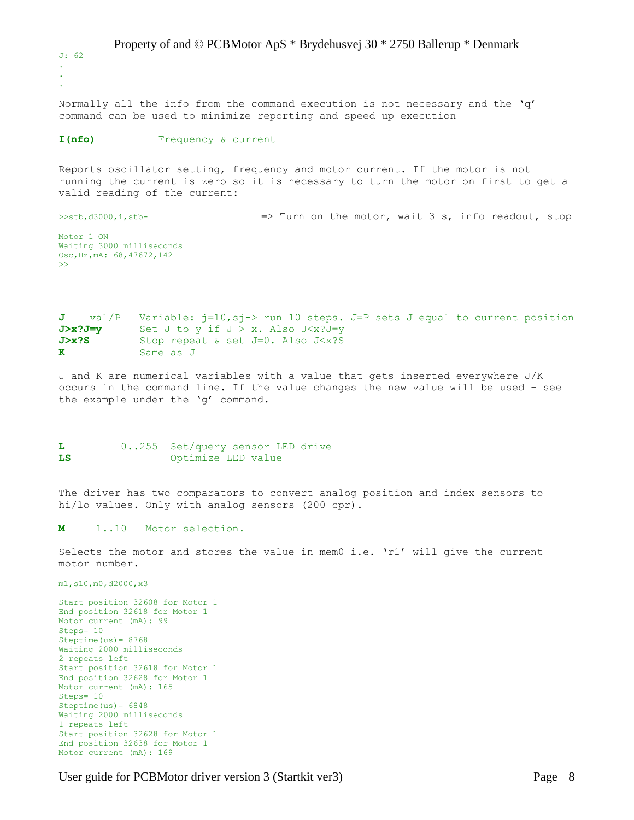Property of and © PCBMotor ApS \* Brydehusvej 30 \* 2750 Ballerup \* Denmark J: 62 . . .

Normally all the info from the command execution is not necessary and the 'q' command can be used to minimize reporting and speed up execution

#### **I(nfo)** Frequency & current

Reports oscillator setting, frequency and motor current. If the motor is not running the current is zero so it is necessary to turn the motor on first to get a valid reading of the current:

>>stb,d3000,i,stb- => Turn on the motor, wait 3 s, info readout, stop

Motor 1 ON Waiting 3000 milliseconds Osc,Hz,mA: 68,47672,142 >>

**J** val/P Variable: j=10, sj-> run 10 steps. J=P sets J equal to current position **J>x?J=y** Set J to y if J > x. Also J<x?J=y J>x?S Stop repeat & set J=0. Also J<x?S **K** Same as J

J and K are numerical variables with a value that gets inserted everywhere J/K occurs in the command line. If the value changes the new value will be used – see the example under the 'g' command.

## **L** 0..255 Set/query sensor LED drive **LS** Optimize LED value

The driver has two comparators to convert analog position and index sensors to hi/lo values. Only with analog sensors (200 cpr).

## **M** 1..10 Motor selection.

Selects the motor and stores the value in mem0 i.e. 'r1' will give the current motor number.

m1,s10,m0,d2000,x3

Start position 32608 for Motor 1 End position 32618 for Motor 1 Motor current (mA): 99 Steps= 10 Steptime $(us) = 8768$ Waiting 2000 milliseconds 2 repeats left Start position 32618 for Motor 1 End position 32628 for Motor 1 Motor current (mA): 165 Steps= 10 Steptime $(us) = 6848$ Waiting 2000 milliseconds 1 repeats left Start position 32628 for Motor 1 End position 32638 for Motor 1 Motor current (mA): 169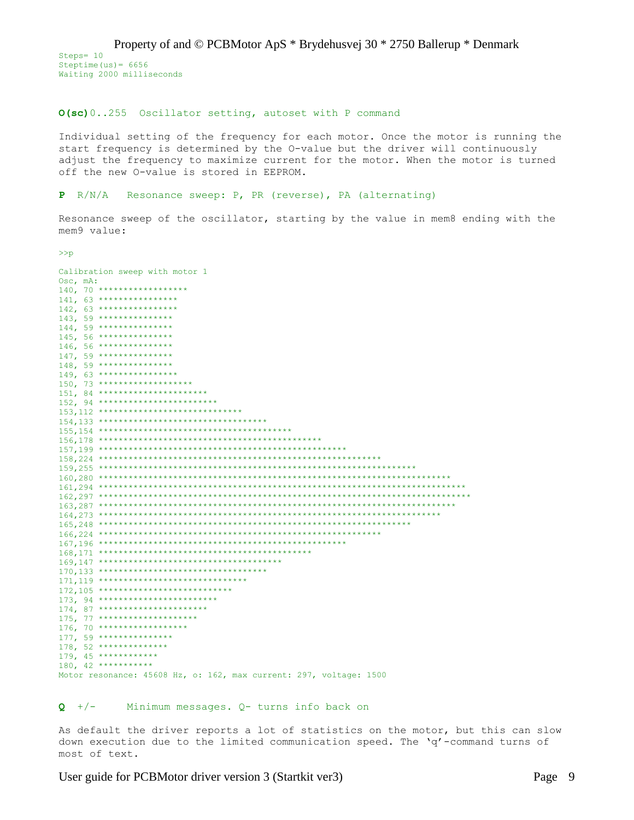Property of and © PCBMotor ApS \* Brydehusvej 30 \* 2750 Ballerup \* Denmark Steps= 10 Steptime(us)= 6656 Waiting 2000 milliseconds

## **O(sc)**0..255 Oscillator setting, autoset with P command

Individual setting of the frequency for each motor. Once the motor is running the start frequency is determined by the O-value but the driver will continuously adjust the frequency to maximize current for the motor. When the motor is turned off the new O-value is stored in EEPROM.

## **P** R/N/A Resonance sweep: P, PR (reverse), PA (alternating)

Resonance sweep of the oscillator, starting by the value in mem8 ending with the mem9 value:

>>p

| Calibration sweep with motor 1                                     |
|--------------------------------------------------------------------|
| $Osc, mA$ :                                                        |
| 140, 70 *******************                                        |
| 141, 63 *****************                                          |
| 142, 63 *****************                                          |
| 143, 59 ****************                                           |
| 144, 59 ****************                                           |
| 145, 56 ****************                                           |
| 146, 56 ****************                                           |
| 147, 59 ****************                                           |
| 148, 59 ****************                                           |
| 149, 63 *****************                                          |
| 150, 73 ********************                                       |
| 151, 84 ************************                                   |
| 152, 94 *************************                                  |
| 153, 112 ******************************                            |
|                                                                    |
|                                                                    |
|                                                                    |
|                                                                    |
|                                                                    |
|                                                                    |
|                                                                    |
|                                                                    |
|                                                                    |
|                                                                    |
|                                                                    |
|                                                                    |
|                                                                    |
|                                                                    |
|                                                                    |
|                                                                    |
|                                                                    |
| $171, 119$ *******************************                         |
| $172,105$ ****************************                             |
| 173, 94 *************************                                  |
| 174, 87 ***********************                                    |
| 175, 77 *********************                                      |
| 176, 70 *******************                                        |
| $177, 59$ ****************                                         |
| 178, 52 ***************                                            |
| $179, 45$ ************                                             |
| 180, 42 ************                                               |
| Motor resonance: 45608 Hz, o: 162, max current: 297, voltage: 1500 |

## **Q** +/- Minimum messages. Q- turns info back on

As default the driver reports a lot of statistics on the motor, but this can slow down execution due to the limited communication speed. The 'q'-command turns of most of text.